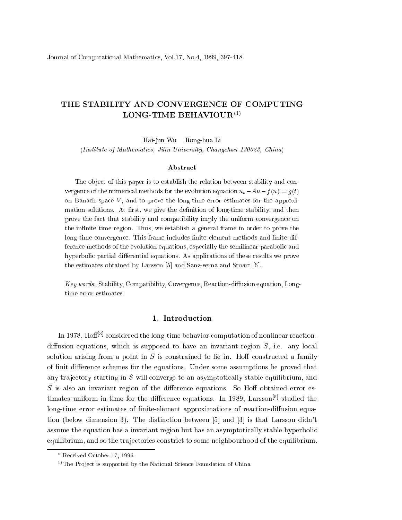## THE STABILITY AND CONVERGENCE OF COMPUTING LONG-TIME BEHAVIOUR<sup>\*1)</sup>

Hai-jun Wu Rong-hua Li (Institute of Mathemati
s, Jilin University, Chang
hun 130023, China)

## Abstra
t

The object of this paper is to establish the relation between stability and convergence of the numerical methods for the evolution equation  $u_t - Au - f(u) = g(t)$ on Bana
h spa
e V , and to prove the long-time error estimates for the approximation solutions. At first, we give the definition of long-time stability, and then prove the fact that stability and compatibility imply the uniform convergence on the infinite time region. Thus, we establish a general frame in order to prove the long-time convergence. This frame includes finite element methods and finite difference methods of the evolution equations, especially the semilinear parabolic and hyperbolic partial differential equations. As applications of these results we prove the estimates obtained by Larsson  $[5]$  and Sanz-serna and Stuart  $[6]$ .

Key words: Stability, Compatibility, Covergence, Reaction-diffusion equation, Longtime error estimates.

## 1. Introdu
tion

In 1978, Hoff<sup>[3]</sup> considered the long-time behavior computation of nonlinear reactiondiffusion equations, which is supposed to have an invariant region  $S$ , i.e. any local solution arising from a point in  $S$  is constrained to lie in. Hoff constructed a family of finit difference schemes for the equations. Under some assumptions he proved that any trajectory starting in S will converge to an asymptotically stable equilibrium, and  $S$  is also an invariant region of the difference equations. So Hoff obtained error estimates uniform in time for the difference equations. In 1989, Larsson<sup>[5]</sup> studied the long-time error estimates of finite-element approximations of reaction-diffusion equation (below dimension 3). The distinction between  $[5]$  and  $[3]$  is that Larsson didn't assume the equation has a invariant region but has an asymptotically stable hyperbolic equilibrium, and so the trajectories constrict to some neighbourhood of the equilibrium.

Re
eived O
tober 17, 1996.

<sup>&</sup>lt;sup>1)</sup>The Project is supported by the National Science Foundation of China.